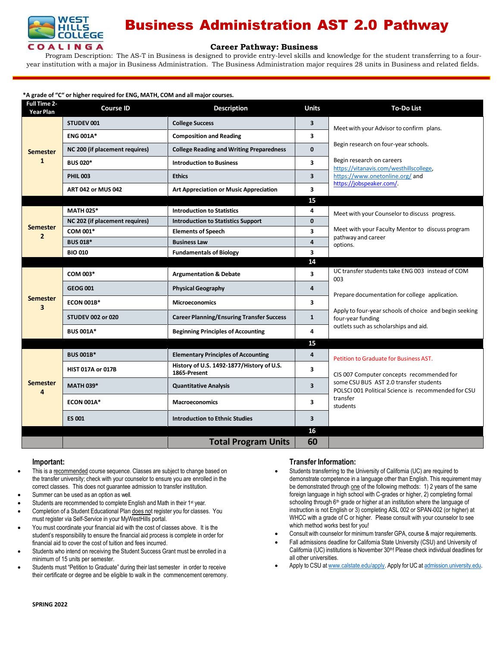

# Business Administration AST 2.0 Pathway

### **Career [Pathway:](http://www.broward.edu/academics/programs/Pages/social-behavioral-sciences-human-services-SBSHS.aspx) Business**

Program Description: The AS-T in Business is designed to provide entry-level skills and knowledge for the student transferring to a fouryear institution with a major in Business Administration. The Business Administration major requires 28 units in Business and related fields.

### **\*A grade of "C" or higher required for ENG, MATH, COM and all major courses.**

| Full Time 2-<br><b>Year Plan</b> | <b>Course ID</b>               | <b>Description</b>                                        | <b>Units</b>            | <b>To-Do List</b>                                                                             |
|----------------------------------|--------------------------------|-----------------------------------------------------------|-------------------------|-----------------------------------------------------------------------------------------------|
| Semester<br>$\mathbf{1}$         | <b>STUDEV 001</b>              | <b>College Success</b>                                    | 3                       | Meet with your Advisor to confirm plans.                                                      |
|                                  | <b>ENG 001A*</b>               | <b>Composition and Reading</b>                            | 3                       |                                                                                               |
|                                  | NC 200 (if placement requires) | <b>College Reading and Writing Preparedness</b>           | $\mathbf{0}$            | Begin research on four-year schools.                                                          |
|                                  | <b>BUS 020*</b>                | <b>Introduction to Business</b>                           | 3                       | Begin research on careers<br>https://vitanavis.com/westhillscollege,                          |
|                                  | <b>PHIL 003</b>                | <b>Ethics</b>                                             | $\overline{\mathbf{3}}$ | https://www.onetonline.org/ and<br>https://jobspeaker.com/.                                   |
|                                  | <b>ART 042 or MUS 042</b>      | <b>Art Appreciation or Music Appreciation</b>             | 3                       |                                                                                               |
|                                  |                                |                                                           | 15                      |                                                                                               |
| Semester<br>$\overline{2}$       | <b>MATH 025*</b>               | <b>Introduction to Statistics</b>                         | 4                       | Meet with your Counselor to discuss progress.                                                 |
|                                  | NC 202 (if placement requires) | <b>Introduction to Statistics Support</b>                 | $\mathbf{0}$            |                                                                                               |
|                                  | COM 001*                       | <b>Elements of Speech</b>                                 | 3                       | Meet with your Faculty Mentor to discuss program<br>pathway and career                        |
|                                  | <b>BUS 018*</b>                | <b>Business Law</b>                                       | $\overline{\mathbf{4}}$ | options.                                                                                      |
|                                  | <b>BIO 010</b>                 | <b>Fundamentals of Biology</b>                            | 3                       |                                                                                               |
|                                  |                                |                                                           | 14                      |                                                                                               |
| Semester<br>3                    | COM 003*                       | <b>Argumentation &amp; Debate</b>                         | 3                       | UC transfer students take ENG 003 instead of COM<br>003                                       |
|                                  | <b>GEOG 001</b>                | <b>Physical Geography</b>                                 | 4                       | Prepare documentation for college application.                                                |
|                                  | <b>ECON 001B*</b>              | <b>Microeconomics</b>                                     | 3                       |                                                                                               |
|                                  | <b>STUDEV 002 or 020</b>       | <b>Career Planning/Ensuring Transfer Success</b>          | $\mathbf{1}$            | Apply to four-year schools of choice and begin seeking<br>four-year funding                   |
|                                  | <b>BUS 001A*</b>               | <b>Beginning Principles of Accounting</b>                 | 4                       | outlets such as scholarships and aid.                                                         |
|                                  |                                |                                                           | 15                      |                                                                                               |
| Semester<br>4                    | <b>BUS 001B*</b>               | <b>Elementary Principles of Accounting</b>                | 4                       | Petition to Graduate for Business AST.                                                        |
|                                  | <b>HIST 017A or 017B</b>       | History of U.S. 1492-1877/History of U.S.<br>1865-Present | 3                       | CIS 007 Computer concepts recommended for                                                     |
|                                  | <b>MATH 039*</b>               | <b>Quantitative Analysis</b>                              | $\overline{\mathbf{3}}$ | some CSU BUS AST 2.0 transfer students<br>POLSCI 001 Political Science is recommended for CSU |
|                                  | <b>ECON 001A*</b>              | <b>Macroeconomics</b>                                     | 3                       | transfer<br>students                                                                          |
|                                  | <b>ES 001</b>                  | <b>Introduction to Ethnic Studies</b>                     | 3                       |                                                                                               |
|                                  |                                |                                                           | 16                      |                                                                                               |
|                                  |                                | <b>Total Program Units</b>                                | 60                      |                                                                                               |

#### **Important:**

- This is a recommended course sequence. Classes are subject to change based on the transfer university; check with your counselor to ensure you are enrolled in the correct classes. This does not guarantee admission to transfer institution.
- Summer can be used as an option as well.
- Students are recommended to complete English and Math in their 1<sup>st</sup> year.
- Completion of a Student Educational Plan does not register you for classes. You must register via Self-Service in your MyWestHills portal.
- You must coordinate your financial aid with the cost of classes above. It is the student's responsibility to ensure the financial aid process is complete in order for financial aid to cover the cost of tuition and fees incurred.
- Students who intend on receiving the Student Success Grant must be enrolled in a minimum of 15 units per semester.
- Students must "Petition to Graduate" during their last semester in order to receive their certificate or degree and be eligible to walk in the commencement ceremony.

### **Transfer Information:**

- Students transferring to the University of California (UC) are required to demonstrate competence in a language other than English. This requirement may be demonstrated through one of the following methods: 1) 2 years of the same foreign language in high school with C-grades or higher, 2) completing formal schooling through 6<sup>th</sup> grade or higher at an institution where the language of instruction is not English or 3) completing ASL 002 or SPAN-002 (or higher) at WHCC with a grade of C or higher. Please consult with your counselor to see which method works best for you!
- Consult with counselor for minimum transfer GPA, course & major requirements.
- Fall admissions deadline for California State University (CSU) and University of California (UC) institutions is November 30<sup>th</sup>! Please check individual deadlines for all other universities.
- Apply to CSU at [www.calstate.edu/apply.](http://www.calstate.edu/apply) Apply for UC at [admission.university.edu.](http://www.apply.universityofcalifornia.edu/)